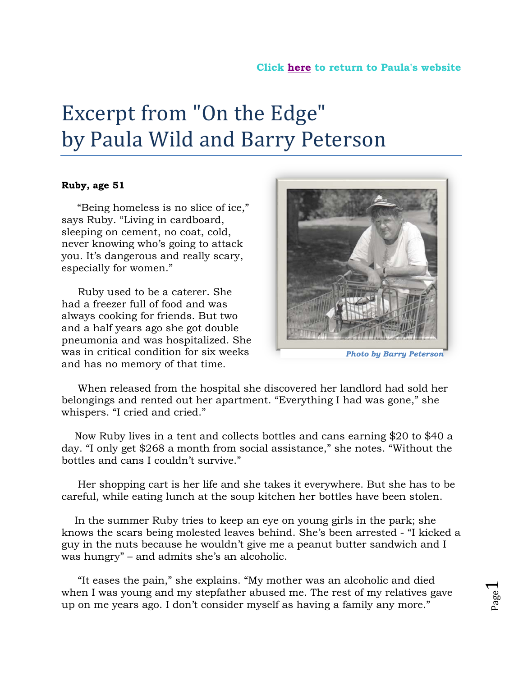## Excerpt from "On the Edge" by Paula Wild and Barry Peterson

## **Ruby, age 51**

 "Being homeless is no slice of ice," says Ruby. "Living in cardboard, sleeping on cement, no coat, cold, never knowing who's going to attack you. It's dangerous and really scary, especially for women."

 Ruby used to be a caterer. She had a freezer full of food and was always cooking for friends. But two and a half years ago she got double pneumonia and was hospitalized. She was in critical condition for six weeks and has no memory of that time.



*Photo by Barry Peterson*

 When released from the hospital she discovered her landlord had sold her belongings and rented out her apartment. "Everything I had was gone," she whispers. "I cried and cried."

 Now Ruby lives in a tent and collects bottles and cans earning \$20 to \$40 a day. "I only get \$268 a month from social assistance," she notes. "Without the bottles and cans I couldn't survive."

 Her shopping cart is her life and she takes it everywhere. But she has to be careful, while eating lunch at the soup kitchen her bottles have been stolen.

 In the summer Ruby tries to keep an eye on young girls in the park; she knows the scars being molested leaves behind. She's been arrested - "I kicked a guy in the nuts because he wouldn't give me a peanut butter sandwich and I was hungry" – and admits she's an alcoholic.

 "It eases the pain," she explains. "My mother was an alcoholic and died when I was young and my stepfather abused me. The rest of my relatives gave up on me years ago. I don't consider myself as having a family any more."